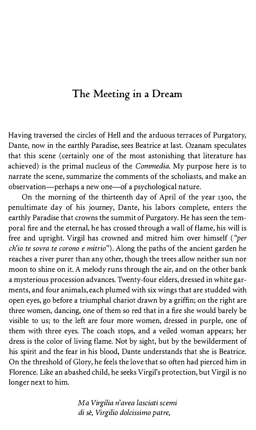## The Meeting in a Dream

Having traversed the circles of Hell and the arduous terraces of Purgatory, Dante, now in the earthly Paradise, sees Beatrice at last. Ozanam speculates that this scene (certainly one of the most astonishing that literature has achieved) is the primal nucleus of the Commedia. My purpose here is to narrate the scene, summarize the comments of the scholiasts, and make an observation-perhaps a new one-of a psychological nature.

On the morning of the thirteenth day of April of the year 1300, the penultimate day of his journey, Dante, his labors complete, enters the earthly Paradise that crowns the summit of Purgatory. He has seen the temporal fire and the eternal, he has crossed through a wall of flame, his will is free and upright. Virgil has crowned and mitred him over himself ("per ch'io te sovra te corono e mitrio"). Along the paths of the ancient garden he reaches a river purer than any other, though the trees allow neither sun nor moon to shine on it. A melody runs through the air, and on the other bank a mysterious procession advances. Twenty-four elders, dressed in white garments, and four animals, each plumed with six wings that are studded with open eyes, go before a triumphal chariot drawn by a griffin; on the right are three women, dancing, one of them so red that in a fire she would barely be visible to us; to the left are four more women, dressed in purple, one of them with three eyes. The coach stops, and a veiled woman appears; her dress is the color of living flame. Not by sight, but by the bewilderment of his spirit and the fear in his blood, Dante understands that she is Beatrice. On the threshold of Glory, he feels the love that so often had pierced him in Florence. Like an abashed child, he seeks Virgil's protection, but Virgil is no longer next to him.

> Ma Virgilia n'avea lasciati scemi di sè, Virgilio dolcissimo patre,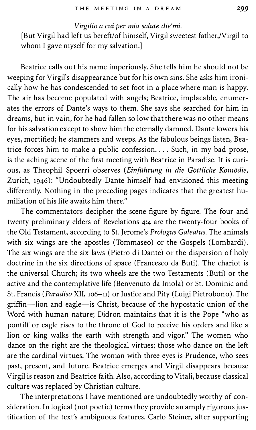## Virgilio a cui per mia salute die'mi.

[But Virgil had left us bereft/of himself, Virgil sweetest father,/Virgil to whom I gave myself for my salvation.]

Beatrice calls out his name imperiously. She tells him he should not be weeping for Virgil's disappearance but for his own sins. She asks him ironically how he has condescended to set foot in a place where man is happy. The air has become populated with angels; Beatrice, implacable, enumerates the errors of Dante's ways to them. She says she searched for him in dreams, but in vain, for he had fallen so low that there was no other means for his salvation except to show him the eternally damned. Dante lowers his eyes, mortified; he stammers and weeps. As the fabulous beings listen, Beatrice forces him to make a public confession. . . . Such, in my bad prose, is the aching scene of the first meeting with Beatrice in Paradise. It is curious, as Theophil Spoerri observes (Einführung in die Göttliche Komödie, Zurich, 1946): "Undoubtedly Dante himself had envisioned this meeting differently. Nothing in the preceding pages indicates that the greatest humiliation of his life awaits him there."

The commentators decipher the scene figure by figure. The four and twenty preliminary elders of Revelations 4:4 are the twenty-four books of the Old Testament, according to St. Jerome's Prologus Galeatus. The animals with six wings are the apostles (Tommaseo) or the Gospels (Lombardi). The six wings are the six laws (Pietro di Dante) or the dispersion of holy doctrine in the six directions of space (Francesco da Buti). The chariot is the universal Church; its two wheels are the two Testaments (Buti) or the active and the contemplative life (Benvenuto da Imola) or St. Dominic and St. Francis (Paradiso XII, 106-11) or Justice and Pity (Luigi Pietrobono). The griffin-lion and eagle-is Christ, because of the hypostatic union of the Word with human nature; Didron maintains that it is the Pope "who as pontiff or eagle rises to the throne of God to receive his orders and like a lion or king walks the earth with strength and vigor." The women who dance on the right are the theological virtues; those who dance on the left are the cardinal virtues. The woman with three eyes is Prudence, who sees past, present, and future. Beatrice emerges and Virgil disappears because Virgil is reason and Beatrice faith. Also, according to Vitali, because classical culture was replaced by Christian culture.

The interpretations I have mentioned are undoubtedly worthy of consideration. In logical (not poetic) terms they provide an amply rigorous justification of the text's ambiguous features. Carlo Steiner, after supporting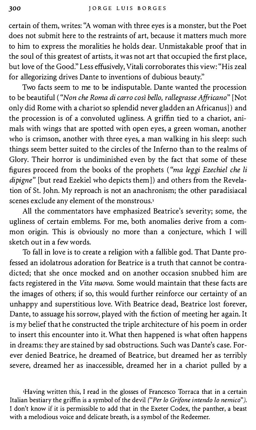certain of them, writes: "A woman with three eyes is a monster, but the Poet does not submit here to the restraints of art, because it matters much more to him to express the moralities he holds dear. Unmistakable proof that in the soul of this greatest of artists, it was not art that occupied the first place, but love of the Good." Less effusively, Vitali corroborates this view: "His zeal for allegorizing drives Dante to inventions of dubious beauty."

Two facts seem to me to be indisputable. Dante wanted the procession to be beautiful ("Non che Roma di carro così bello, rallegrasse Affricano" [Not only did Rome with a chariot so splendid never gladden an Africanus]) and the procession is of a convoluted ugliness. A griffin tied to a chariot, animals with wings that are spotted with open eyes, a green woman, another who is crimson, another with three eyes, a man walking in his sleep: such things seem better suited to the circles of the Inferno than to the realms of Glory. Their horror is undiminished even by the fact that some of these figures proceed from the books of the prophets ("ma leggi Ezechiel che li dipigne" [but read Ezekiel who depicts them]) and others from the Revelation of St. John. My reproach is not an anachronism; the other paradisiacal scenes exclude any element of the monstrous.'

All the commentators have emphasized Beatrice's severity; some, the ugliness of certain emblems. For me, both anomalies derive from a common origin. This is obviously no more than a conjecture, which I will sketch out in a few words.

To fall in love is to create a religion with a fallible god. That Dante professed an idolatrous adoration for Beatrice is a truth that cannot be contradicted; that she once mocked and on another occasion snubbed him are facts registered in the Vita nuova. Some would maintain that these facts are the images of others; if so, this would further reinforce our certainty of an unhappy and superstitious love. With Beatrice dead, Beatrice lost forever, Dante, to assuage his sorrow, played with the fiction of meeting her again. It is my belief that he constructed the triple architecture of his poem in order to insert this encounter into it. What then happened is what often happens in dreams: they are stained by sad obstructions. Such was Dante's case. Forever denied Beatrice, he dreamed of Beatrice, but dreamed her as terribly severe, dreamed her as inaccessible, dreamed her in a chariot pulled by a

•Having written this, I read in the glosses of Francesco Torraca that in a certain Italian bestiary the griffin is a symbol of the devil ("Per lo Grifone intendo lo nemico"). I don't know if it is permissible to add that in the Exeter Codex, the panther, a beast with a melodious voice and delicate breath, is a symbol of the Redeemer.